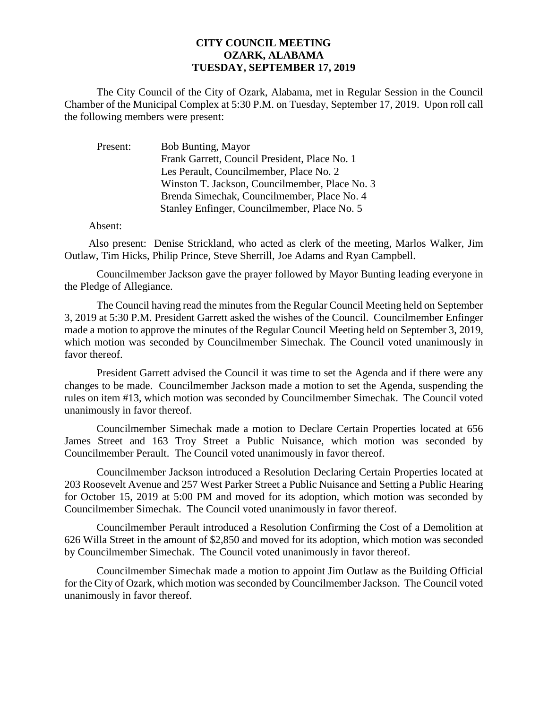## **CITY COUNCIL MEETING OZARK, ALABAMA TUESDAY, SEPTEMBER 17, 2019**

The City Council of the City of Ozark, Alabama, met in Regular Session in the Council Chamber of the Municipal Complex at 5:30 P.M. on Tuesday, September 17, 2019. Upon roll call the following members were present:

| Present: | Bob Bunting, Mayor                             |
|----------|------------------------------------------------|
|          | Frank Garrett, Council President, Place No. 1  |
|          | Les Perault, Councilmember, Place No. 2        |
|          | Winston T. Jackson, Councilmember, Place No. 3 |
|          | Brenda Simechak, Councilmember, Place No. 4    |
|          | Stanley Enfinger, Councilmember, Place No. 5   |

Absent:

Also present: Denise Strickland, who acted as clerk of the meeting, Marlos Walker, Jim Outlaw, Tim Hicks, Philip Prince, Steve Sherrill, Joe Adams and Ryan Campbell.

Councilmember Jackson gave the prayer followed by Mayor Bunting leading everyone in the Pledge of Allegiance.

The Council having read the minutes from the Regular Council Meeting held on September 3, 2019 at 5:30 P.M. President Garrett asked the wishes of the Council. Councilmember Enfinger made a motion to approve the minutes of the Regular Council Meeting held on September 3, 2019, which motion was seconded by Councilmember Simechak. The Council voted unanimously in favor thereof.

President Garrett advised the Council it was time to set the Agenda and if there were any changes to be made. Councilmember Jackson made a motion to set the Agenda, suspending the rules on item #13, which motion was seconded by Councilmember Simechak. The Council voted unanimously in favor thereof.

Councilmember Simechak made a motion to Declare Certain Properties located at 656 James Street and 163 Troy Street a Public Nuisance, which motion was seconded by Councilmember Perault. The Council voted unanimously in favor thereof.

Councilmember Jackson introduced a Resolution Declaring Certain Properties located at 203 Roosevelt Avenue and 257 West Parker Street a Public Nuisance and Setting a Public Hearing for October 15, 2019 at 5:00 PM and moved for its adoption, which motion was seconded by Councilmember Simechak. The Council voted unanimously in favor thereof.

Councilmember Perault introduced a Resolution Confirming the Cost of a Demolition at 626 Willa Street in the amount of \$2,850 and moved for its adoption, which motion was seconded by Councilmember Simechak. The Council voted unanimously in favor thereof.

Councilmember Simechak made a motion to appoint Jim Outlaw as the Building Official for the City of Ozark, which motion was seconded by Councilmember Jackson. The Council voted unanimously in favor thereof.